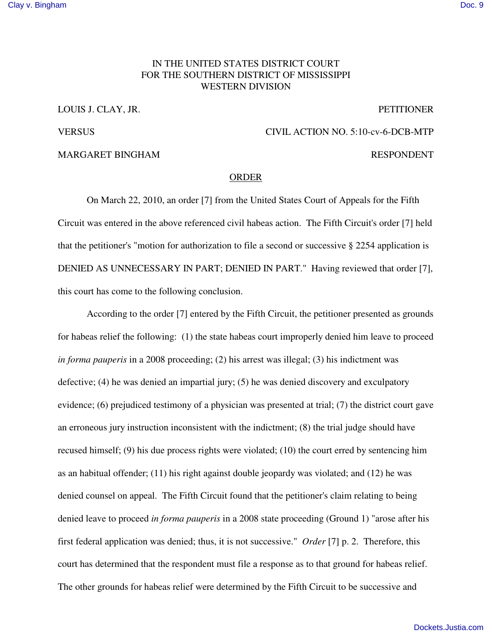## IN THE UNITED STATES DISTRICT COURT FOR THE SOUTHERN DISTRICT OF MISSISSIPPI WESTERN DIVISION

LOUIS J. CLAY, JR. PETITIONER

VERSUS CIVIL ACTION NO. 5:10-cv-6-DCB-MTP

## MARGARET BINGHAM **RESPONDENT**

## ORDER

On March 22, 2010, an order [7] from the United States Court of Appeals for the Fifth Circuit was entered in the above referenced civil habeas action. The Fifth Circuit's order [7] held that the petitioner's "motion for authorization to file a second or successive § 2254 application is DENIED AS UNNECESSARY IN PART; DENIED IN PART." Having reviewed that order [7], this court has come to the following conclusion.

According to the order [7] entered by the Fifth Circuit, the petitioner presented as grounds for habeas relief the following: (1) the state habeas court improperly denied him leave to proceed *in forma pauperis* in a 2008 proceeding; (2) his arrest was illegal; (3) his indictment was defective; (4) he was denied an impartial jury; (5) he was denied discovery and exculpatory evidence; (6) prejudiced testimony of a physician was presented at trial; (7) the district court gave an erroneous jury instruction inconsistent with the indictment; (8) the trial judge should have recused himself; (9) his due process rights were violated; (10) the court erred by sentencing him as an habitual offender; (11) his right against double jeopardy was violated; and (12) he was denied counsel on appeal. The Fifth Circuit found that the petitioner's claim relating to being denied leave to proceed *in forma pauperis* in a 2008 state proceeding (Ground 1) "arose after his first federal application was denied; thus, it is not successive." *Order* [7] p. 2. Therefore, this court has determined that the respondent must file a response as to that ground for habeas relief. The other grounds for habeas relief were determined by the Fifth Circuit to be successive and